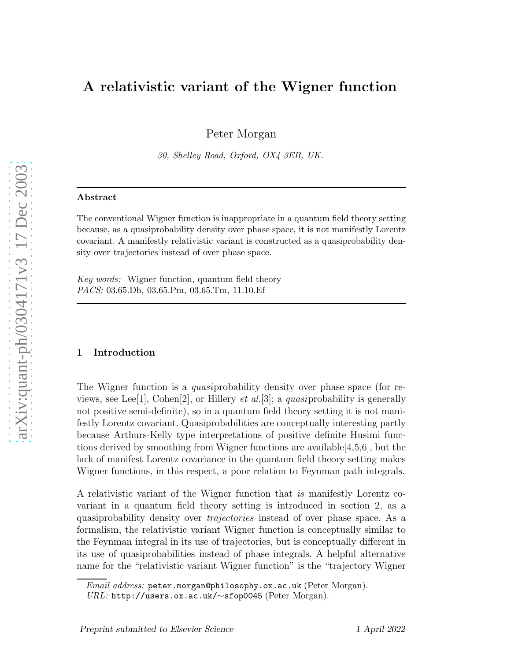# A relativistic variant of the Wigner function

Peter Morgan

*30, Shelley Road, Oxford, OX4 3EB, UK.*

## Abstract

The conventional Wigner function is inappropriate in a quantum field theory setting because, as a quasiprobability density over phase space, it is not manifestly Lorentz covariant. A manifestly relativistic variant is constructed as a quasiprobability density over trajectories instead of over phase space.

*Key words:* Wigner function, quantum field theory *PACS:* 03.65.Db, 03.65.Pm, 03.65.Tm, 11.10.Ef

#### 1 Introduction

The Wigner function is a *quasi* probability density over phase space (for reviews, see Lee<sup>[1]</sup>, Cohen<sup>[2]</sup>, or Hillery *et al.*[3]; a *quasiprobability* is generally not positive semi-definite), so in a quantum field theory setting it is not manifestly Lorentz covariant. Quasiprobabilities are conceptually interesting partly because Arthurs-Kelly type interpretations of positive definite Husimi functions derived by smoothing from Wigner functions are available[4,5,6], but the lack of manifest Lorentz covariance in the quantum field theory setting makes Wigner functions, in this respect, a poor relation to Feynman path integrals.

A relativistic variant of the Wigner function that is manifestly Lorentz covariant in a quantum field theory setting is introduced in section 2, as a quasiprobability density over trajectories instead of over phase space. As a formalism, the relativistic variant Wigner function is conceptually similar to the Feynman integral in its use of trajectories, but is conceptually different in its use of quasiprobabilities instead of phase integrals. A helpful alternative name for the "relativistic variant Wigner function" is the "trajectory Wigner

*Email address:* peter.morgan@philosophy.ox.ac.uk (Peter Morgan).

*URL:* http://users.ox.ac.uk/ ∼sfop0045 (Peter Morgan).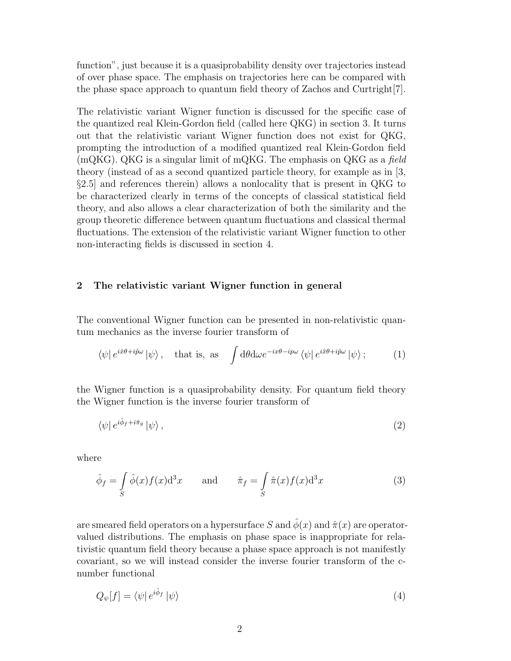function", just because it is a quasiprobability density over trajectories instead of over phase space. The emphasis on trajectories here can be compared with the phase space approach to quantum field theory of Zachos and Curtright[7].

The relativistic variant Wigner function is discussed for the specific case of the quantized real Klein-Gordon field (called here QKG) in section 3. It turns out that the relativistic variant Wigner function does not exist for QKG, prompting the introduction of a modified quantized real Klein-Gordon field  $(mQKG)$ . QKG is a singular limit of mQKG. The emphasis on QKG as a field theory (instead of as a second quantized particle theory, for example as in [3, §2.5] and references therein) allows a nonlocality that is present in QKG to be characterized clearly in terms of the concepts of classical statistical field theory, and also allows a clear characterization of both the similarity and the group theoretic difference between quantum fluctuations and classical thermal fluctuations. The extension of the relativistic variant Wigner function to other non-interacting fields is discussed in section 4.

## 2 The relativistic variant Wigner function in general

The conventional Wigner function can be presented in non-relativistic quantum mechanics as the inverse fourier transform of

$$
\langle \psi | e^{i\hat{x}\theta + i\hat{p}\omega} | \psi \rangle
$$
, that is, as  $\int d\theta d\omega e^{-ix\theta - i\omega} \langle \psi | e^{i\hat{x}\theta + i\hat{p}\omega} | \psi \rangle$ ; (1)

the Wigner function is a quasiprobability density. For quantum field theory the Wigner function is the inverse fourier transform of

$$
\langle \psi | e^{i\hat{\phi}_f + i\hat{\pi}_g} | \psi \rangle , \qquad (2)
$$

where

$$
\hat{\phi}_f = \int_S \hat{\phi}(x) f(x) \mathrm{d}^3 x \quad \text{and} \quad \hat{\pi}_f = \int_S \hat{\pi}(x) f(x) \mathrm{d}^3 x \tag{3}
$$

are smeared field operators on a hypersurface S and  $\phi(x)$  and  $\hat{\pi}(x)$  are operatorvalued distributions. The emphasis on phase space is inappropriate for relativistic quantum field theory because a phase space approach is not manifestly covariant, so we will instead consider the inverse fourier transform of the cnumber functional

$$
Q_{\psi}[f] = \langle \psi | e^{i\hat{\phi}_f} | \psi \rangle \tag{4}
$$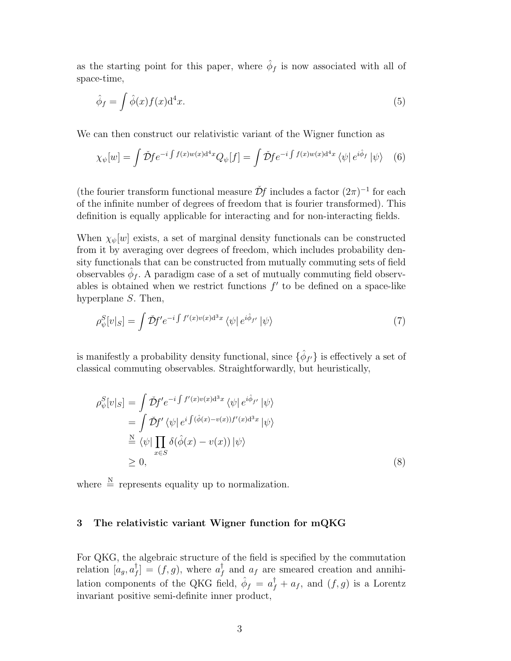as the starting point for this paper, where  $\hat{\phi}_f$  is now associated with all of space-time,

$$
\hat{\phi}_f = \int \hat{\phi}(x) f(x) \mathrm{d}^4 x. \tag{5}
$$

We can then construct our relativistic variant of the Wigner function as

$$
\chi_{\psi}[w] = \int \tilde{\mathcal{D}} f e^{-i \int f(x)w(x) \mathrm{d}^4 x} Q_{\psi}[f] = \int \tilde{\mathcal{D}} f e^{-i \int f(x)w(x) \mathrm{d}^4 x} \langle \psi | e^{i \hat{\phi}_f} | \psi \rangle \quad (6)
$$

(the fourier transform functional measure  $\check{\mathcal{D}}f$  includes a factor  $(2\pi)^{-1}$  for each of the infinite number of degrees of freedom that is fourier transformed). This definition is equally applicable for interacting and for non-interacting fields.

When  $\chi_{\psi}[w]$  exists, a set of marginal density functionals can be constructed from it by averaging over degrees of freedom, which includes probability density functionals that can be constructed from mutually commuting sets of field observables  $\hat{\phi}_f$ . A paradigm case of a set of mutually commuting field observables is obtained when we restrict functions  $f'$  to be defined on a space-like hyperplane S. Then,

$$
\rho_{\psi}^{S}[v|_{S}] = \int \tilde{\mathcal{D}}f' e^{-i \int f'(x)v(x) \mathrm{d}^{3}x} \left\langle \psi \right| e^{i\hat{\phi}_{f'}} \left| \psi \right\rangle \tag{7}
$$

is manifestly a probability density functional, since  $\{\hat{\phi}_{f'}\}$  is effectively a set of classical commuting observables. Straightforwardly, but heuristically,

$$
\rho_{\psi}^{S}[v|S] = \int \tilde{D}f' e^{-i \int f'(x)v(x) \mathrm{d}^{3}x} \langle \psi | e^{i\hat{\phi}_{f'}} | \psi \rangle
$$
  
\n
$$
= \int \tilde{D}f' \langle \psi | e^{i \int (\hat{\phi}(x) - v(x))f'(x) \mathrm{d}^{3}x} | \psi \rangle
$$
  
\n
$$
\stackrel{\text{N}}{=} \langle \psi | \prod_{x \in S} \delta(\hat{\phi}(x) - v(x)) | \psi \rangle
$$
  
\n
$$
\geq 0,
$$
\n(8)

where  $\frac{N}{r}$  represents equality up to normalization.

## 3 The relativistic variant Wigner function for mQKG

For QKG, the algebraic structure of the field is specified by the commutation relation  $[a_g, a_f^{\dagger}]$  $f_{f}^{\dagger}$ ] =  $(f,g)$ , where  $a_{f}^{\dagger}$  $f \text{ and } a_f$  are smeared creation and annihilation components of the QKG field,  $\hat{\phi}_f = a_f^{\dagger} + a_f$ , and  $(f, g)$  is a Lorentz invariant positive semi-definite inner product,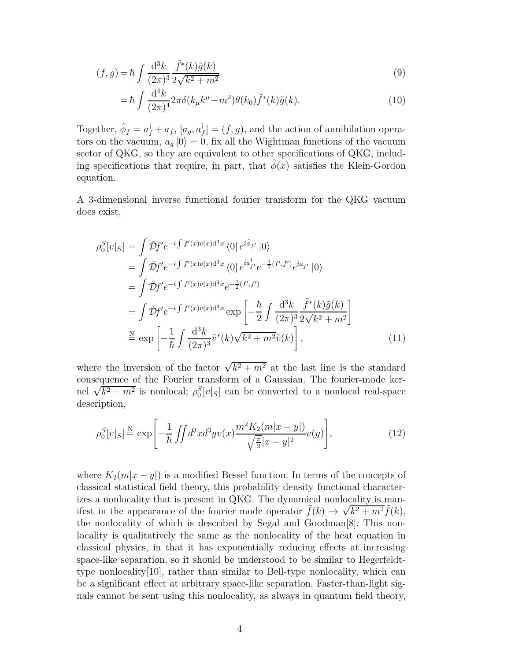$$
(f,g) = \hbar \int \frac{\mathrm{d}^3 k}{(2\pi)^3} \frac{\tilde{f}^*(k)\tilde{g}(k)}{2\sqrt{k^2 + m^2}} \tag{9}
$$

$$
= \hbar \int \frac{\mathrm{d}^4 k}{(2\pi)^4} 2\pi \delta(k_\mu k^\mu - m^2) \theta(k_0) \tilde{f}^*(k) \tilde{g}(k). \tag{10}
$$

Together,  $\hat{\phi}_f = a_f^{\dagger} + a_f$ ,  $[a_g, a_f^{\dagger}]$  $[f] = (f, g)$ , and the action of annihilation operators on the vacuum,  $a_g |0\rangle = 0$ , fix all the Wightman functions of the vacuum sector of QKG, so they are equivalent to other specifications of QKG, including specifications that require, in part, that  $\phi(x)$  satisfies the Klein-Gordon equation.

A 3-dimensional inverse functional fourier transform for the QKG vacuum does exist,

$$
\rho_0^S[v|_S] = \int \tilde{D}f' e^{-i \int f'(x)v(x) d^3x} \langle 0 | e^{i\hat{\phi}_{f'}} | 0 \rangle
$$
  
\n
$$
= \int \tilde{D}f' e^{-i \int f'(x)v(x) d^3x} \langle 0 | e^{ia_{f'}^{\dagger}} e^{-\frac{1}{2}(f',f')} e^{ia_{f'}} | 0 \rangle
$$
  
\n
$$
= \int \tilde{D}f' e^{-i \int f'(x)v(x) d^3x} e^{-\frac{1}{2}(f',f')}
$$
  
\n
$$
= \int \tilde{D}f' e^{-i \int f'(x)v(x) d^3x} \exp \left[ -\frac{\hbar}{2} \int \frac{d^3k}{(2\pi)^3} \frac{\tilde{f}^*(k)\tilde{g}(k)}{2\sqrt{k^2 + m^2}} \right]
$$
  
\n
$$
\stackrel{\text{N}}{=} \exp \left[ -\frac{1}{\hbar} \int \frac{d^3k}{(2\pi)^3} \tilde{v}^*(k) \sqrt{k^2 + m^2} \tilde{v}(k) \right],
$$
\n(11)

where the inversion of the factor  $\sqrt{k^2 + m^2}$  at the last line is the standard consequence of the Fourier transform of a Gaussian. The fourier-mode kernel  $\sqrt{k^2 + m^2}$  is nonlocal;  $\rho_0^S[v|_S]$  can be converted to a nonlocal real-space description,

$$
\rho_0^S[v|_S] \stackrel{\text{N}}{=} \exp\left[-\frac{1}{\hbar} \iint d^3x d^3y v(x) \frac{m^2 K_2(m|x-y|)}{\sqrt{\frac{\pi}{2}}|x-y|^2} v(y)\right],\tag{12}
$$

where  $K_2(m|x-y|)$  is a modified Bessel function. In terms of the concepts of classical statistical field theory, this probability density functional characterizes a nonlocality that is present in QKG. The dynamical nonlocality is manifest in the appearance of the fourier mode operator  $\tilde{f}(k) \to \sqrt{k^2 + m^2} \tilde{f}(k)$ , the nonlocality of which is described by Segal and Goodman[8]. This nonlocality is qualitatively the same as the nonlocality of the heat equation in classical physics, in that it has exponentially reducing effects at increasing space-like separation, so it should be understood to be similar to Hegerfeldttype nonlocality[10], rather than similar to Bell-type nonlocality, which can be a significant effect at arbitrary space-like separation. Faster-than-light signals cannot be sent using this nonlocality, as always in quantum field theory,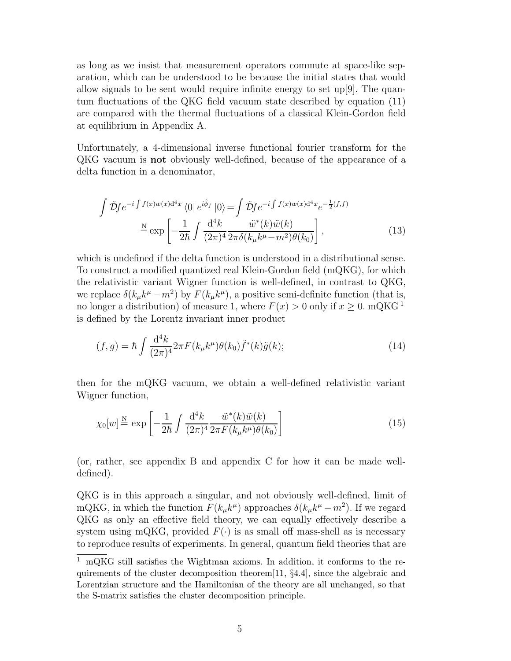as long as we insist that measurement operators commute at space-like separation, which can be understood to be because the initial states that would allow signals to be sent would require infinite energy to set up[9]. The quantum fluctuations of the QKG field vacuum state described by equation (11) are compared with the thermal fluctuations of a classical Klein-Gordon field at equilibrium in Appendix A.

Unfortunately, a 4-dimensional inverse functional fourier transform for the QKG vacuum is not obviously well-defined, because of the appearance of a delta function in a denominator,

$$
\int \tilde{\mathcal{D}} f e^{-i \int f(x)w(x) d^4 x} \langle 0 | e^{i\hat{\phi}_f} | 0 \rangle = \int \tilde{\mathcal{D}} f e^{-i \int f(x)w(x) d^4 x} e^{-\frac{1}{2}(f,f)}
$$

$$
\stackrel{\text{N}}{=} \exp\left[ -\frac{1}{2\hbar} \int \frac{d^4 k}{(2\pi)^4} \frac{\tilde{w}^*(k)\tilde{w}(k)}{2\pi \delta(k_\mu k^\mu - m^2)\theta(k_0)} \right],
$$
(13)

which is undefined if the delta function is understood in a distributional sense. To construct a modified quantized real Klein-Gordon field (mQKG), for which the relativistic variant Wigner function is well-defined, in contrast to QKG, we replace  $\delta(k_{\mu}k^{\mu}-m^2)$  by  $F(k_{\mu}k^{\mu})$ , a positive semi-definite function (that is, no longer a distribution) of measure 1, where  $F(x) > 0$  only if  $x \ge 0$ . mQKG<sup>1</sup> is defined by the Lorentz invariant inner product

$$
(f,g) = \hbar \int \frac{\mathrm{d}^4 k}{(2\pi)^4} 2\pi F(k_{\mu}k^{\mu}) \theta(k_0) \tilde{f}^*(k) \tilde{g}(k); \tag{14}
$$

then for the mQKG vacuum, we obtain a well-defined relativistic variant Wigner function,

$$
\chi_0[w] \stackrel{\text{N}}{=} \exp\left[-\frac{1}{2\hbar} \int \frac{\mathrm{d}^4 k}{(2\pi)^4} \frac{\tilde{w}^*(k)\tilde{w}(k)}{2\pi F(k_\mu k^\mu)\theta(k_0)}\right]
$$
(15)

(or, rather, see appendix B and appendix C for how it can be made welldefined).

QKG is in this approach a singular, and not obviously well-defined, limit of mQKG, in which the function  $F(k_{\mu}k^{\mu})$  approaches  $\delta(k_{\mu}k^{\mu}-m^2)$ . If we regard QKG as only an effective field theory, we can equally effectively describe a system using mQKG, provided  $F(\cdot)$  is as small off mass-shell as is necessary to reproduce results of experiments. In general, quantum field theories that are

<sup>1</sup> mQKG still satisfies the Wightman axioms. In addition, it conforms to the requirements of the cluster decomposition theorem[11, §4.4], since the algebraic and Lorentzian structure and the Hamiltonian of the theory are all unchanged, so that the S-matrix satisfies the cluster decomposition principle.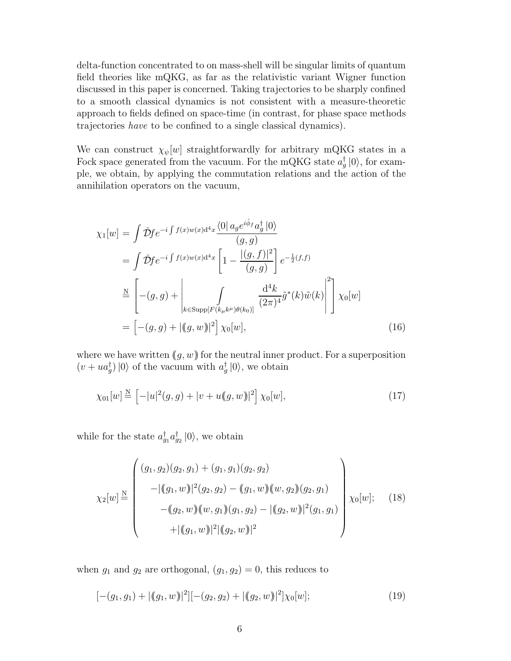delta-function concentrated to on mass-shell will be singular limits of quantum field theories like mQKG, as far as the relativistic variant Wigner function discussed in this paper is concerned. Taking trajectories to be sharply confined to a smooth classical dynamics is not consistent with a measure-theoretic approach to fields defined on space-time (in contrast, for phase space methods trajectories have to be confined to a single classical dynamics).

We can construct  $\chi_{\psi}[w]$  straightforwardly for arbitrary mQKG states in a Fock space generated from the vacuum. For the mQKG state  $a_g^{\dagger} |0\rangle$ , for example, we obtain, by applying the commutation relations and the action of the annihilation operators on the vacuum,

$$
\chi_{1}[w] = \int \tilde{D}f e^{-i \int f(x)w(x) d^{4}x} \frac{\langle 0 | a_{g} e^{i\hat{\phi}_{f}} a_{g}^{\dagger} | 0 \rangle}{(g, g)}
$$
  
\n
$$
= \int \tilde{D}f e^{-i \int f(x)w(x) d^{4}x} \left[ 1 - \frac{|(g, f)|^{2}}{(g, g)} \right] e^{-\frac{1}{2}(f, f)}
$$
  
\n
$$
\stackrel{\text{N}}{=} \left[ -(g, g) + \left| \int_{k \in \text{Supp}[F(k_{\mu}k^{\mu})\theta(k_{0})]} \frac{d^{4}k}{(2\pi)^{4}} \tilde{g}^{*}(k) \tilde{w}(k) \right|^{2} \right] \chi_{0}[w]
$$
  
\n
$$
= \left[ -(g, g) + |(g, w)|^{2} \right] \chi_{0}[w], \tag{16}
$$

where we have written  $(g, w)$  for the neutral inner product. For a superposition  $(v + ua_g^{\dagger}) |0\rangle$  of the vacuum with  $a_g^{\dagger} |0\rangle$ , we obtain

$$
\chi_{01}[w] \stackrel{\text{N}}{=} \left[ -|u|^2(g,g) + |v + u(g,w)|^2 \right] \chi_0[w], \tag{17}
$$

while for the state  $a_{g_1}^{\dagger} a_{g_2}^{\dagger} |0\rangle$ , we obtain

$$
\chi_2[w] \stackrel{\text{N}}{=} \begin{pmatrix} (g_1, g_2)(g_2, g_1) + (g_1, g_1)(g_2, g_2) \\ - |(g_1, w)|^2 (g_2, g_2) - (g_1, w)(w, g_2)(g_2, g_1) \\ - (g_2, w)(w, g_1)(g_1, g_2) - |(g_2, w)|^2 (g_1, g_1) \\ + |(g_1, w)|^2 |(g_2, w)|^2 \end{pmatrix} \chi_0[w]; \quad (18)
$$

when  $g_1$  and  $g_2$  are orthogonal,  $(g_1, g_2) = 0$ , this reduces to

$$
[-(g_1, g_1) + |(g_1, w)|^2] [-(g_2, g_2) + |(g_2, w)|^2] \chi_0[w];
$$
\n(19)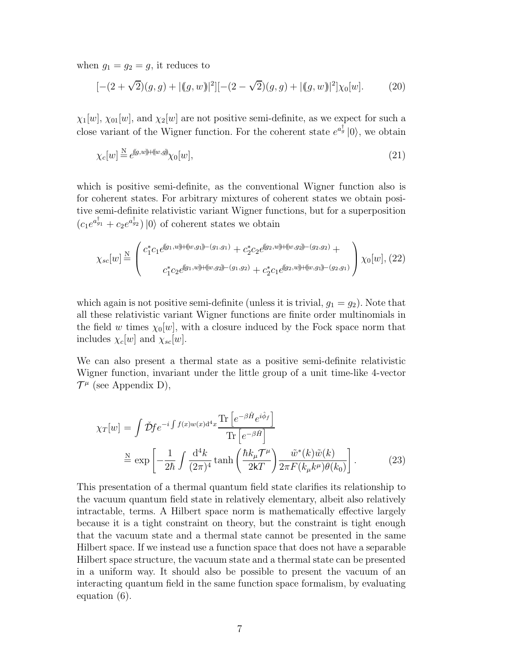when  $g_1 = g_2 = g$ , it reduces to

$$
[-(2+\sqrt{2})(g,g) + |(g,w)|^2] [-(2-\sqrt{2})(g,g) + |(g,w)|^2] \chi_0[w]. \tag{20}
$$

 $\chi_1[w], \chi_{01}[w],$  and  $\chi_2[w]$  are not positive semi-definite, as we expect for such a close variant of the Wigner function. For the coherent state  $e^{a_{g}^{\dagger}}|0\rangle$ , we obtain

$$
\chi_c[w] \stackrel{\text{N}}{=} e^{(g,w) + (w,g)} \chi_0[w],\tag{21}
$$

which is positive semi-definite, as the conventional Wigner function also is for coherent states. For arbitrary mixtures of coherent states we obtain positive semi-definite relativistic variant Wigner functions, but for a superposition  $(c_1e^{a_{g_1}^{\dagger}} + c_2e^{a_{g_2}^{\dagger}})|0\rangle$  of coherent states we obtain

$$
\chi_{sc}[w] \stackrel{\text{N}}{=} \begin{pmatrix} c_1^* c_1 e^{(g_1, w) + (w, g_1) - (g_1, g_1)} + c_2^* c_2 e^{(g_2, w) + (w, g_2) - (g_2, g_2)} + \\ c_1^* c_2 e^{(g_1, w) + (w, g_2) - (g_1, g_2)} + c_2^* c_1 e^{(g_2, w) + (w, g_1) - (g_2, g_1)} \end{pmatrix} \chi_0[w], (22)
$$

which again is not positive semi-definite (unless it is trivial,  $g_1 = g_2$ ). Note that all these relativistic variant Wigner functions are finite order multinomials in the field w times  $\chi_0[w]$ , with a closure induced by the Fock space norm that includes  $\chi_c[w]$  and  $\chi_{sc}[w]$ .

We can also present a thermal state as a positive semi-definite relativistic Wigner function, invariant under the little group of a unit time-like 4-vector  $\mathcal{T}^{\mu}$  (see Appendix D),

$$
\chi_T[w] = \int \check{D}f e^{-i \int f(x)w(x) d^4x} \frac{\text{Tr}\left[e^{-\beta \hat{H}} e^{i\hat{\phi}_f}\right]}{\text{Tr}\left[e^{-\beta \hat{H}}\right]}
$$

$$
\stackrel{\text{N}}{=} \exp\left[-\frac{1}{2\hbar} \int \frac{d^4k}{(2\pi)^4} \tanh\left(\frac{\hbar k_\mu \mathcal{T}^\mu}{2kT}\right) \frac{\tilde{w}^*(k)\tilde{w}(k)}{2\pi F(k_\mu k^\mu)\theta(k_0)}\right].
$$
(23)

This presentation of a thermal quantum field state clarifies its relationship to the vacuum quantum field state in relatively elementary, albeit also relatively intractable, terms. A Hilbert space norm is mathematically effective largely because it is a tight constraint on theory, but the constraint is tight enough that the vacuum state and a thermal state cannot be presented in the same Hilbert space. If we instead use a function space that does not have a separable Hilbert space structure, the vacuum state and a thermal state can be presented in a uniform way. It should also be possible to present the vacuum of an interacting quantum field in the same function space formalism, by evaluating equation (6).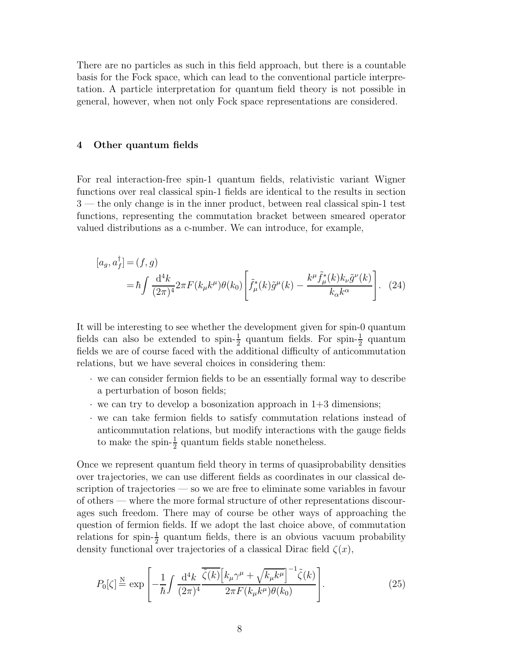There are no particles as such in this field approach, but there is a countable basis for the Fock space, which can lead to the conventional particle interpretation. A particle interpretation for quantum field theory is not possible in general, however, when not only Fock space representations are considered.

#### 4 Other quantum fields

For real interaction-free spin-1 quantum fields, relativistic variant Wigner functions over real classical spin-1 fields are identical to the results in section 3 — the only change is in the inner product, between real classical spin-1 test functions, representing the commutation bracket between smeared operator valued distributions as a c-number. We can introduce, for example,

$$
[a_g, a_f^{\dagger}] = (f, g)
$$
  
=  $\hbar \int \frac{d^4 k}{(2\pi)^4} 2\pi F(k_{\mu}k^{\mu}) \theta(k_0) \left[ \tilde{f}_{\mu}^*(k) \tilde{g}^{\mu}(k) - \frac{k^{\mu} \tilde{f}_{\mu}^*(k) k_{\nu} \tilde{g}^{\nu}(k)}{k_{\alpha} k^{\alpha}} \right].$  (24)

It will be interesting to see whether the development given for spin-0 quantum fields can also be extended to spin- $\frac{1}{2}$  quantum fields. For spin- $\frac{1}{2}$  quantum fields we are of course faced with the additional difficulty of anticommutation relations, but we have several choices in considering them:

- · we can consider fermion fields to be an essentially formal way to describe a perturbation of boson fields;
- $\cdot$  we can try to develop a bosonization approach in 1+3 dimensions;
- · we can take fermion fields to satisfy commutation relations instead of anticommutation relations, but modify interactions with the gauge fields to make the spin- $\frac{1}{2}$  quantum fields stable nonetheless.

Once we represent quantum field theory in terms of quasiprobability densities over trajectories, we can use different fields as coordinates in our classical description of trajectories — so we are free to eliminate some variables in favour of others — where the more formal structure of other representations discourages such freedom. There may of course be other ways of approaching the question of fermion fields. If we adopt the last choice above, of commutation relations for spin- $\frac{1}{2}$  quantum fields, there is an obvious vacuum probability density functional over trajectories of a classical Dirac field  $\zeta(x)$ ,

$$
P_0[\zeta] \stackrel{\text{N}}{=} \exp\left[-\frac{1}{\hbar} \int \frac{\mathrm{d}^4 k}{(2\pi)^4} \frac{\overline{\zeta(k)} \left[k_\mu \gamma^\mu + \sqrt{k_\mu k^\mu} \right]^{-1} \widetilde{\zeta}(k)}{2\pi F(k_\mu k^\mu) \theta(k_0)}\right].\tag{25}
$$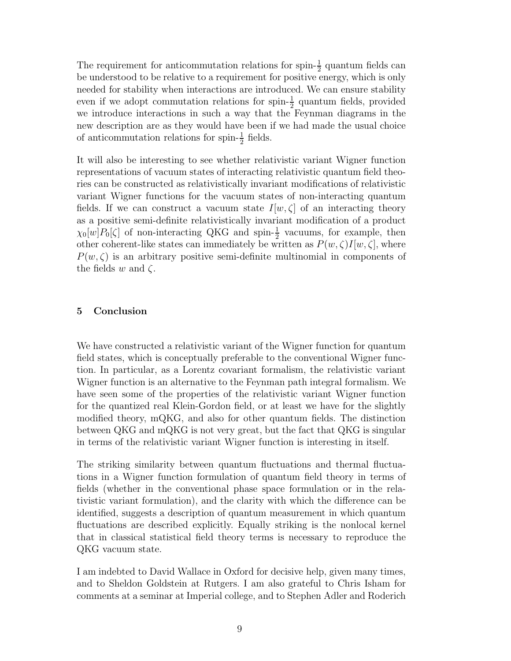The requirement for anticommutation relations for spin- $\frac{1}{2}$  quantum fields can be understood to be relative to a requirement for positive energy, which is only needed for stability when interactions are introduced. We can ensure stability even if we adopt commutation relations for spin- $\frac{1}{2}$  quantum fields, provided we introduce interactions in such a way that the Feynman diagrams in the new description are as they would have been if we had made the usual choice of anticommutation relations for spin- $\frac{1}{2}$  fields.

It will also be interesting to see whether relativistic variant Wigner function representations of vacuum states of interacting relativistic quantum field theories can be constructed as relativistically invariant modifications of relativistic variant Wigner functions for the vacuum states of non-interacting quantum fields. If we can construct a vacuum state  $I[w,\zeta]$  of an interacting theory as a positive semi-definite relativistically invariant modification of a product  $\chi_0[w]P_0[\zeta]$  of non-interacting QKG and spin- $\frac{1}{2}$  vacuums, for example, then other coherent-like states can immediately be written as  $P(w, \zeta)I[w, \zeta]$ , where  $P(w, \zeta)$  is an arbitrary positive semi-definite multinomial in components of the fields w and  $\zeta$ .

## 5 Conclusion

We have constructed a relativistic variant of the Wigner function for quantum field states, which is conceptually preferable to the conventional Wigner function. In particular, as a Lorentz covariant formalism, the relativistic variant Wigner function is an alternative to the Feynman path integral formalism. We have seen some of the properties of the relativistic variant Wigner function for the quantized real Klein-Gordon field, or at least we have for the slightly modified theory, mQKG, and also for other quantum fields. The distinction between QKG and mQKG is not very great, but the fact that QKG is singular in terms of the relativistic variant Wigner function is interesting in itself.

The striking similarity between quantum fluctuations and thermal fluctuations in a Wigner function formulation of quantum field theory in terms of fields (whether in the conventional phase space formulation or in the relativistic variant formulation), and the clarity with which the difference can be identified, suggests a description of quantum measurement in which quantum fluctuations are described explicitly. Equally striking is the nonlocal kernel that in classical statistical field theory terms is necessary to reproduce the QKG vacuum state.

I am indebted to David Wallace in Oxford for decisive help, given many times, and to Sheldon Goldstein at Rutgers. I am also grateful to Chris Isham for comments at a seminar at Imperial college, and to Stephen Adler and Roderich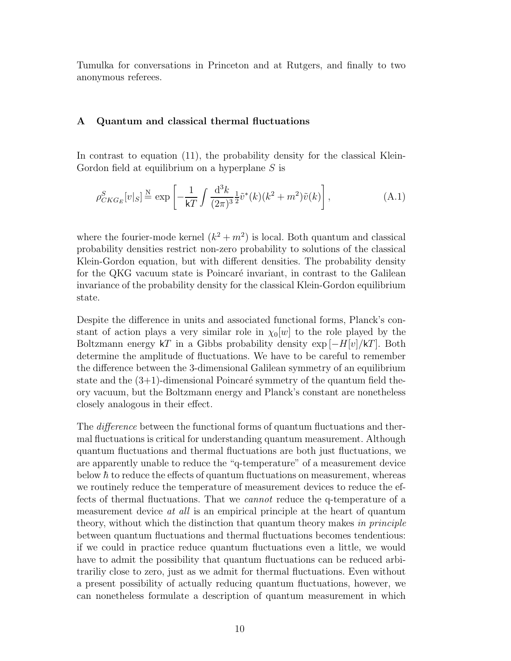Tumulka for conversations in Princeton and at Rutgers, and finally to two anonymous referees.

#### A Quantum and classical thermal fluctuations

In contrast to equation (11), the probability density for the classical Klein-Gordon field at equilibrium on a hyperplane S is

$$
\rho_{CKG_E}^S[v|_S] \stackrel{\text{N}}{=} \exp\left[-\frac{1}{kT} \int \frac{\mathrm{d}^3 k}{(2\pi)^3} \frac{1}{2} \tilde{v}^*(k)(k^2 + m^2)\tilde{v}(k)\right],\tag{A.1}
$$

where the fourier-mode kernel  $(k^2 + m^2)$  is local. Both quantum and classical probability densities restrict non-zero probability to solutions of the classical Klein-Gordon equation, but with different densities. The probability density for the QKG vacuum state is Poincaré invariant, in contrast to the Galilean invariance of the probability density for the classical Klein-Gordon equilibrium state.

Despite the difference in units and associated functional forms, Planck's constant of action plays a very similar role in  $\chi_0[w]$  to the role played by the Boltzmann energy kT in a Gibbs probability density  $\exp[-H[v]/kT]$ . Both determine the amplitude of fluctuations. We have to be careful to remember the difference between the 3-dimensional Galilean symmetry of an equilibrium state and the  $(3+1)$ -dimensional Poincaré symmetry of the quantum field theory vacuum, but the Boltzmann energy and Planck's constant are nonetheless closely analogous in their effect.

The *difference* between the functional forms of quantum fluctuations and thermal fluctuations is critical for understanding quantum measurement. Although quantum fluctuations and thermal fluctuations are both just fluctuations, we are apparently unable to reduce the "q-temperature" of a measurement device below  $\hbar$  to reduce the effects of quantum fluctuations on measurement, whereas we routinely reduce the temperature of measurement devices to reduce the effects of thermal fluctuations. That we cannot reduce the q-temperature of a measurement device *at all* is an empirical principle at the heart of quantum theory, without which the distinction that quantum theory makes in principle between quantum fluctuations and thermal fluctuations becomes tendentious: if we could in practice reduce quantum fluctuations even a little, we would have to admit the possibility that quantum fluctuations can be reduced arbitrariliy close to zero, just as we admit for thermal fluctuations. Even without a present possibility of actually reducing quantum fluctuations, however, we can nonetheless formulate a description of quantum measurement in which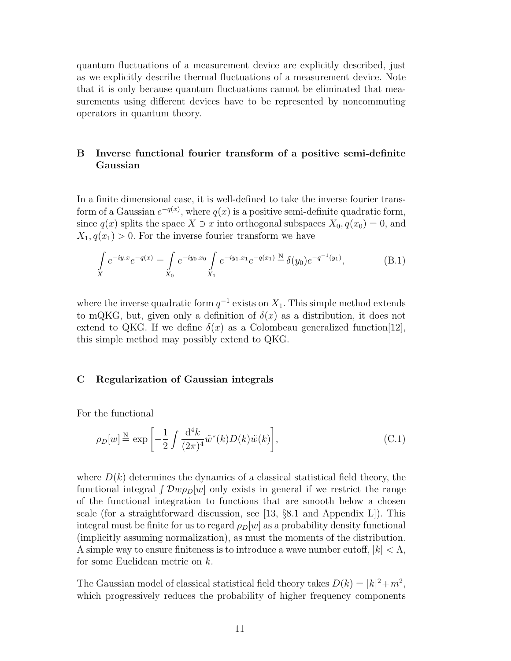quantum fluctuations of a measurement device are explicitly described, just as we explicitly describe thermal fluctuations of a measurement device. Note that it is only because quantum fluctuations cannot be eliminated that measurements using different devices have to be represented by noncommuting operators in quantum theory.

## B Inverse functional fourier transform of a positive semi-definite Gaussian

In a finite dimensional case, it is well-defined to take the inverse fourier transform of a Gaussian  $e^{-q(x)}$ , where  $q(x)$  is a positive semi-definite quadratic form, since  $q(x)$  splits the space  $X \ni x$  into orthogonal subspaces  $X_0, q(x_0) = 0$ , and  $X_1, q(x_1) > 0$ . For the inverse fourier transform we have

$$
\int_{X} e^{-iy \cdot x} e^{-q(x)} = \int_{X_0} e^{-iy_0 \cdot x_0} \int_{X_1} e^{-iy_1 \cdot x_1} e^{-q(x_1)} \stackrel{\text{N}}{=} \delta(y_0) e^{-q^{-1}(y_1)},
$$
\n(B.1)

where the inverse quadratic form  $q^{-1}$  exists on  $X_1$ . This simple method extends to mQKG, but, given only a definition of  $\delta(x)$  as a distribution, it does not extend to QKG. If we define  $\delta(x)$  as a Colombeau generalized function [12], this simple method may possibly extend to QKG.

#### C Regularization of Gaussian integrals

For the functional

$$
\rho_D[w] \stackrel{\text{N}}{=} \exp\left[-\frac{1}{2} \int \frac{\mathrm{d}^4 k}{(2\pi)^4} \tilde{w}^*(k) D(k) \tilde{w}(k)\right],\tag{C.1}
$$

where  $D(k)$  determines the dynamics of a classical statistical field theory, the functional integral  $\int \mathcal{D}w\rho_D[w]$  only exists in general if we restrict the range of the functional integration to functions that are smooth below a chosen scale (for a straightforward discussion, see [13, §8.1 and Appendix L]). This integral must be finite for us to regard  $\rho_D[w]$  as a probability density functional (implicitly assuming normalization), as must the moments of the distribution. A simple way to ensure finiteness is to introduce a wave number cutoff,  $|k| < \Lambda$ , for some Euclidean metric on k.

The Gaussian model of classical statistical field theory takes  $D(k) = |k|^2 + m^2$ , which progressively reduces the probability of higher frequency components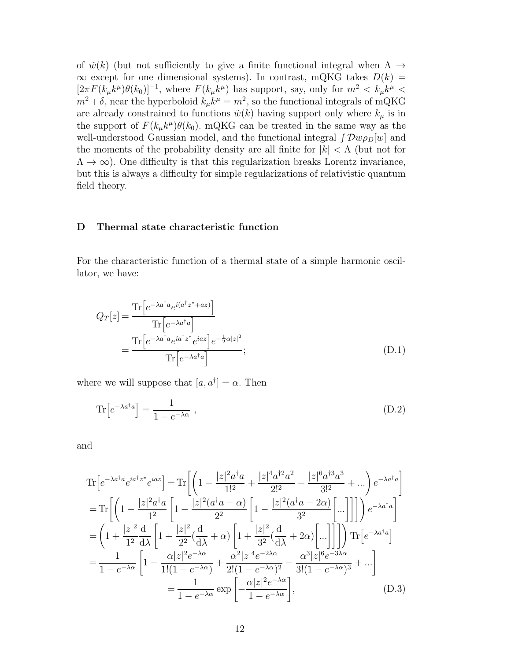of  $\tilde{w}(k)$  (but not sufficiently to give a finite functional integral when  $\Lambda \to$  $\infty$  except for one dimensional systems). In contrast, mQKG takes  $D(k)$  =  $[2\pi F(k_\mu k^\mu)\theta(k_0)]^{-1}$ , where  $F(k_\mu k^\mu)$  has support, say, only for  $m^2 < k_\mu k^\mu <$  $m^2 + \delta$ , near the hyperboloid  $k_{\mu}k^{\mu} = m^2$ , so the functional integrals of mQKG are already constrained to functions  $\tilde{w}(k)$  having support only where  $k_{\mu}$  is in the support of  $F(k_{\mu}k^{\mu})\theta(k_0)$ . mQKG can be treated in the same way as the well-understood Gaussian model, and the functional integral  $\int \mathcal{D}w \rho_D[w]$  and the moments of the probability density are all finite for  $|k| < \Lambda$  (but not for  $\Lambda \to \infty$ ). One difficulty is that this regularization breaks Lorentz invariance, but this is always a difficulty for simple regularizations of relativistic quantum field theory.

#### D Thermal state characteristic function

For the characteristic function of a thermal state of a simple harmonic oscillator, we have:

$$
Q_T[z] = \frac{\text{Tr}\left[e^{-\lambda a^\dagger a} e^{i(a^\dagger z^* + az)}\right]}{\text{Tr}\left[e^{-\lambda a^\dagger a}\right]} \\
= \frac{\text{Tr}\left[e^{-\lambda a^\dagger a} e^{ia^\dagger z^*} e^{iaz}\right] e^{-\frac{1}{2}\alpha|z|^2}}{\text{Tr}\left[e^{-\lambda a^\dagger a}\right]};
$$
\n(D.1)

where we will suppose that  $[a, a^{\dagger}] = \alpha$ . Then

$$
\text{Tr}\left[e^{-\lambda a^{\dagger} a}\right] = \frac{1}{1 - e^{-\lambda \alpha}} \,,\tag{D.2}
$$

and

$$
\begin{split} &\text{Tr}\left[e^{-\lambda a^{\dagger}a}e^{ia^{\dagger}z^{*}}e^{iaz}\right] = \text{Tr}\left[\left(1 - \frac{|z|^{2}a^{\dagger}a}{1!^{2}} + \frac{|z|^{4}a^{\dagger}^{2}a^{2}}{2!^{2}} - \frac{|z|^{6}a^{\dagger}^{3}a^{3}}{3!^{2}} + \ldots\right)e^{-\lambda a^{\dagger}a}\right] \\ &= \text{Tr}\left[\left(1 - \frac{|z|^{2}a^{\dagger}a}{1^{2}}\left[1 - \frac{|z|^{2}(a^{\dagger}a - \alpha)}{2^{2}}\left[1 - \frac{|z|^{2}(a^{\dagger}a - 2\alpha)}{3^{2}}\left[\ldots\right]\right]\right]\right)e^{-\lambda a^{\dagger}a}\right] \\ &= \left(1 + \frac{|z|^{2}}{1^{2}}\frac{d}{d\lambda}\left[1 + \frac{|z|^{2}}{2^{2}}\left(\frac{d}{d\lambda} + \alpha\right)\left[1 + \frac{|z|^{2}}{3^{2}}\left(\frac{d}{d\lambda} + 2\alpha\right)\left[\ldots\right]\right]\right]\right) \text{Tr}\left[e^{-\lambda a^{\dagger}a}\right] \\ &= \frac{1}{1 - e^{-\lambda\alpha}}\left[1 - \frac{\alpha|z|^{2}e^{-\lambda\alpha}}{1!(1 - e^{-\lambda\alpha})} + \frac{\alpha^{2}|z|^{4}e^{-2\lambda\alpha}}{2!(1 - e^{-\lambda\alpha})^{2}} - \frac{\alpha^{3}|z|^{6}e^{-3\lambda\alpha}}{3!(1 - e^{-\lambda\alpha})^{3}} + \ldots\right] \\ &= \frac{1}{1 - e^{-\lambda\alpha}}\exp\left[-\frac{\alpha|z|^{2}e^{-\lambda\alpha}}{1 - e^{-\lambda\alpha}}\right], \end{split} \tag{D.3}
$$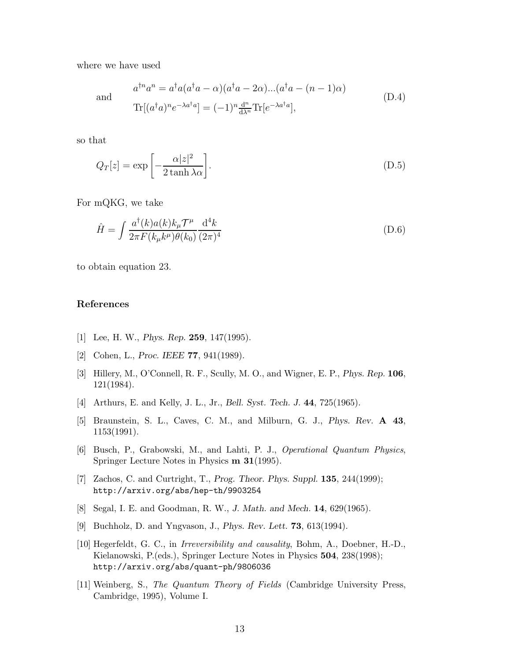where we have used

and

$$
a^{\dagger n}a^n = a^{\dagger}a(a^{\dagger}a - \alpha)(a^{\dagger}a - 2\alpha)...(a^{\dagger}a - (n-1)\alpha)
$$
  
Tr $[(a^{\dagger}a)^n e^{-\lambda a^{\dagger}a}] = (-1)^n \frac{d^n}{d\lambda^n} \text{Tr}[e^{-\lambda a^{\dagger}a}],$  (D.4)

so that

$$
Q_T[z] = \exp\left[-\frac{\alpha|z|^2}{2\tanh\lambda\alpha}\right].\tag{D.5}
$$

For mQKG, we take

$$
\hat{H} = \int \frac{a^{\dagger}(k)a(k)k_{\mu}\mathcal{T}^{\mu}}{2\pi F(k_{\mu}k^{\mu})\theta(k_0)} \frac{\mathrm{d}^4k}{(2\pi)^4}
$$
\n(D.6)

to obtain equation 23.

## References

- [1] Lee, H. W., Phys. Rep. 259, 147(1995).
- [2] Cohen, L., Proc. IEEE 77, 941(1989).
- [3] Hillery, M., O'Connell, R. F., Scully, M. O., and Wigner, E. P., Phys. Rep. 106, 121(1984).
- [4] Arthurs, E. and Kelly, J. L., Jr., *Bell. Syst. Tech. J.* **44**, 725(1965).
- [5] Braunstein, S. L., Caves, C. M., and Milburn, G. J., Phys. Rev. A 43, 1153(1991).
- [6] Busch, P., Grabowski, M., and Lahti, P. J., *Operational Quantum Physics*, Springer Lecture Notes in Physics m 31(1995).
- [7] Zachos, C. and Curtright, T., Prog. Theor. Phys. Suppl. **135**, 244(1999); http://arxiv.org/abs/hep-th/9903254
- [8] Segal, I. E. and Goodman, R. W., J. Math. and Mech. 14, 629(1965).
- [9] Buchholz, D. and Yngvason, J., Phys. Rev. Lett. 73, 613(1994).
- [10] Hegerfeldt, G. C., in *Irreversibility and causality*, Bohm, A., Doebner, H.-D., Kielanowski, P.(eds.), Springer Lecture Notes in Physics 504, 238(1998); http://arxiv.org/abs/quant-ph/9806036
- [11] Weinberg, S., *The Quantum Theory of Fields* (Cambridge University Press, Cambridge, 1995), Volume I.